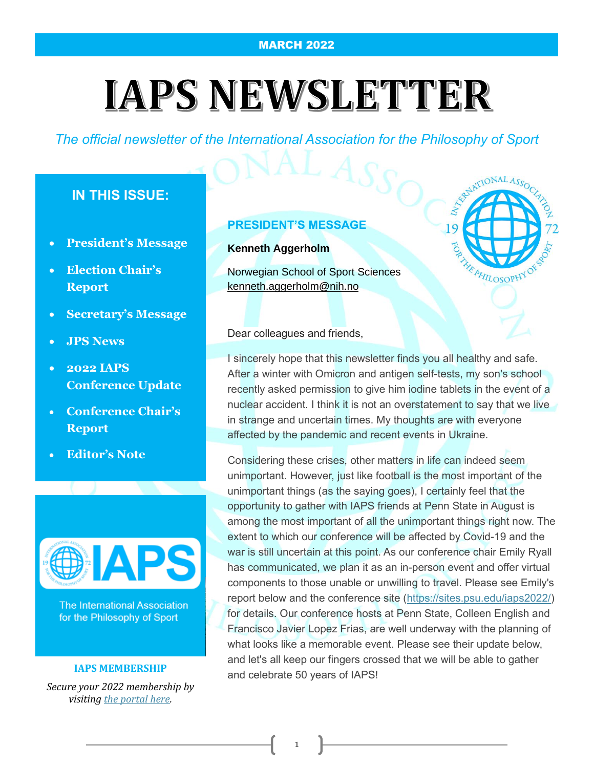# **IAPS NEWSLETTER**

*The official newsletter of the International Association for the Philosophy of Sport*

# **IN THIS ISSUE:**

- **President's Message**
- **Election Chair's Report**
- **Secretary's Message**
- **JPS News**
- **2022 IAPS Conference Update**
- **Conference Chair's Report**
- **Editor's Note**



**The International Association** for the Philosophy of Sport

#### **IAPS MEMBERSHIP**

*Secure your 2022 membership by visiting [the portal here.](https://www.cvent.com/events/ContactPortal/Login.aspx?cwstub=bed9669e-fc7b-4581-8cbf-1eb72f51f0df)*

#### **PRESIDENT'S MESSAGE**

#### **Kenneth Aggerholm**

Norwegian School of Sport Sciences [kenneth.aggerholm@nih.no](mailto:kenneth.aggerholm@nih.no)



Dear colleagues and friends,

I sincerely hope that this newsletter finds you all healthy and safe. After a winter with Omicron and antigen self-tests, my son's school recently asked permission to give him iodine tablets in the event of a nuclear accident. I think it is not an overstatement to say that we live in strange and uncertain times. My thoughts are with everyone affected by the pandemic and recent events in Ukraine.

Considering these crises, other matters in life can indeed seem unimportant. However, just like football is the most important of the unimportant things (as the saying goes), I certainly feel that the opportunity to gather with IAPS friends at Penn State in August is among the most important of all the unimportant things right now. The extent to which our conference will be affected by Covid-19 and the war is still uncertain at this point. As our conference chair Emily Ryall has communicated, we plan it as an in-person event and offer virtual components to those unable or unwilling to travel. Please see Emily's report below and the conference site [\(https://sites.psu.edu/iaps2022/\)](https://sites.psu.edu/iaps2022/) for details. Our conference hosts at Penn State, Colleen English and Francisco Javier Lopez Frias, are well underway with the planning of what looks like a memorable event. Please see their update below, and let's all keep our fingers crossed that we will be able to gather and celebrate 50 years of IAPS!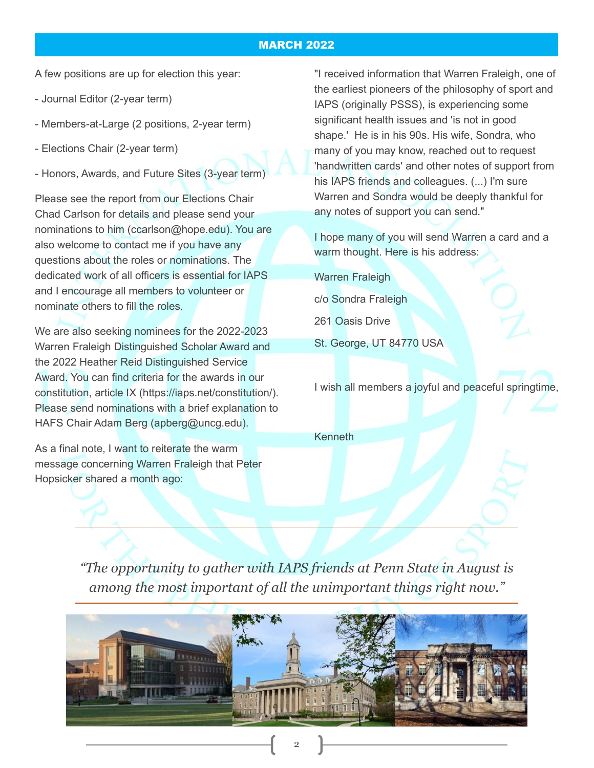A few positions are up for election this year:

- Journal Editor (2-year term)
- Members-at-Large (2 positions, 2-year term)
- Elections Chair (2-year term)
- Honors, Awards, and Future Sites (3-year term)

Please see the report from our Elections Chair Chad Carlson for details and please send your nominations to him (ccarlson@hope.edu). You are also welcome to contact me if you have any questions about the roles or nominations. The dedicated work of all officers is essential for IAPS and I encourage all members to volunteer or nominate others to fill the roles.

We are also seeking nominees for the 2022-2023 Warren Fraleigh Distinguished Scholar Award and the 2022 Heather Reid Distinguished Service Award. You can find criteria for the awards in our constitution, article IX (https://iaps.net/constitution/). Please send nominations with a brief explanation to HAFS Chair Adam Berg (apberg@uncg.edu).

As a final note, I want to reiterate the warm message concerning Warren Fraleigh that Peter Hopsicker shared a month ago:

"I received information that Warren Fraleigh, one of the earliest pioneers of the philosophy of sport and IAPS (originally PSSS), is experiencing some significant health issues and 'is not in good shape.' He is in his 90s. His wife, Sondra, who many of you may know, reached out to request 'handwritten cards' and other notes of support from his IAPS friends and colleagues. (...) I'm sure Warren and Sondra would be deeply thankful for any notes of support you can send."

I hope many of you will send Warren a card and a warm thought. Here is his address:

Warren Fraleigh c/o Sondra Fraleigh 261 Oasis Drive St. George, UT 84770 USA

I wish all members a joyful and peaceful springtime,

Kenneth

*"The opportunity to gather with IAPS friends at Penn State in August is among the most important of all the unimportant things right now."*

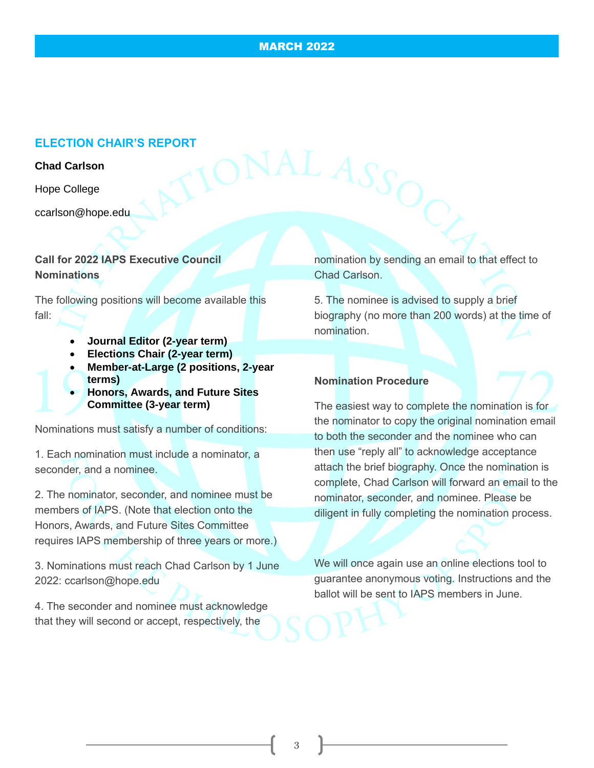## **ELECTION CHAIR'S REPORT**

#### **Chad Carlson**

Hope College

ccarlson@hope.edu

## **Call for 2022 IAPS Executive Council Nominations**

The following positions will become available this fall:

- **Journal Editor (2-year term)**
- **Elections Chair (2-year term)**
- **Member-at-Large (2 positions, 2-year terms)**
- **Honors, Awards, and Future Sites Committee (3-year term)**

Nominations must satisfy a number of conditions:

1. Each nomination must include a nominator, a seconder, and a nominee.

2. The nominator, seconder, and nominee must be members of IAPS. (Note that election onto the Honors, Awards, and Future Sites Committee requires IAPS membership of three years or more.)

3. Nominations must reach Chad Carlson by 1 June 2022: ccarlson@hope.edu

4. The seconder and nominee must acknowledge that they will second or accept, respectively, the

nomination by sending an email to that effect to Chad Carlson.

5. The nominee is advised to supply a brief biography (no more than 200 words) at the time of nomination.

#### **Nomination Procedure**

The easiest way to complete the nomination is for the nominator to copy the original nomination email to both the seconder and the nominee who can then use "reply all" to acknowledge acceptance attach the brief biography. Once the nomination is complete, Chad Carlson will forward an email to the nominator, seconder, and nominee. Please be diligent in fully completing the nomination process.

We will once again use an online elections tool to guarantee anonymous voting. Instructions and the ballot will be sent to IAPS members in June.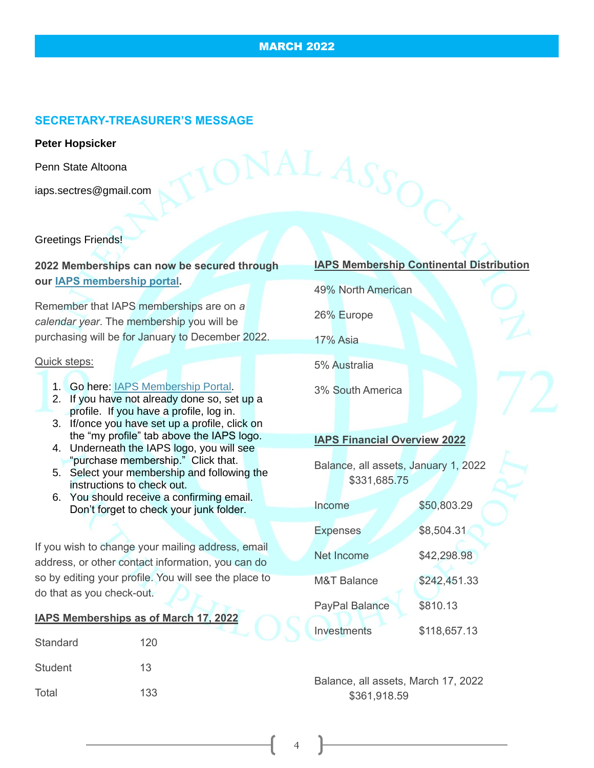### **SECRETARY-TREASURER'S MESSAGE**

#### **Peter Hopsicker**

Penn State Altoona

iaps.sectres@gmail.com

Greetings Friends!

**2022 Memberships can now be secured through our [IAPS membership portal.](http://www.cvent.com/d/r6qccl/3W)** 

Remember that IAPS memberships are on *a calendar year*. The membership you will be purchasing will be for January to December 2022.

#### Quick steps:

- 1. Go here: [IAPS Membership Portal.](http://www.cvent.com/d/r6qccl/3W)
- 2. If you have not already done so, set up a profile. If you have a profile, log in.
- 3. If/once you have set up a profile, click on the "my profile" tab above the IAPS logo.
- 4. Underneath the IAPS logo, you will see "purchase membership." Click that.
- 5. Select your membership and following the instructions to check out.
- 6. You should receive a confirming email. Don't forget to check your junk folder.

If you wish to change your mailing address, email address, or other contact information, you can do so by editing your profile. You will see the place to do that as you check-out.

|          | IAPS Memberships as of March 17, 2022 |  |
|----------|---------------------------------------|--|
| Standard | 120                                   |  |
| Student  | 13                                    |  |
| Total    | 133                                   |  |

#### **IAPS Membership Continental Distribution**

49% North American

26% Europe

17% Asia

5% Australia

3% South America

#### **IAPS Financial Overview 2022**

Balance, all assets, January 1, 2022 \$331,685.75

| Income                 | \$50,803.29  |
|------------------------|--------------|
| <b>Expenses</b>        | \$8,504.31   |
| <b>Net Income</b>      | \$42,298.98  |
| <b>M&amp;T Balance</b> | \$242,451.33 |
| <b>PayPal Balance</b>  | \$810.13     |
| Investments            | \$118,657.13 |

Balance, all assets, March 17, 2022 \$361,918.59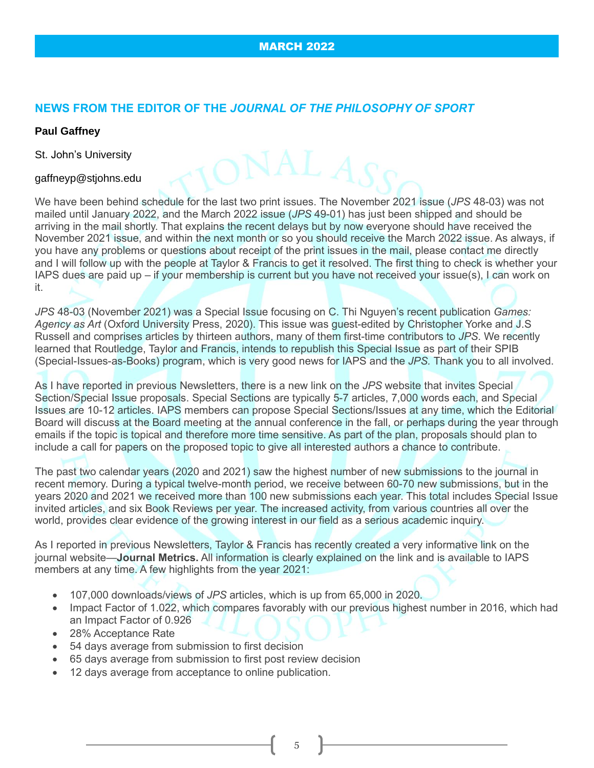## **NEWS FROM THE EDITOR OF THE** *JOURNAL OF THE PHILOSOPHY OF SPORT*

### **Paul Gaffney**

St. John's University

#### gaffneyp@stjohns.edu

We have been behind schedule for the last two print issues. The November 2021 issue (*JPS* 48-03) was not mailed until January 2022, and the March 2022 issue (*JPS* 49-01) has just been shipped and should be arriving in the mail shortly. That explains the recent delays but by now everyone should have received the November 2021 issue, and within the next month or so you should receive the March 2022 issue. As always, if you have any problems or questions about receipt of the print issues in the mail, please contact me directly and I will follow up with the people at Taylor & Francis to get it resolved. The first thing to check is whether your IAPS dues are paid up – if your membership is current but you have not received your issue(s), I can work on it.

*JPS* 48-03 (November 2021) was a Special Issue focusing on C. Thi Nguyen's recent publication *Games: Agency as Art* (Oxford University Press, 2020). This issue was guest-edited by Christopher Yorke and J.S Russell and comprises articles by thirteen authors, many of them first-time contributors to *JPS*. We recently learned that Routledge, Taylor and Francis, intends to republish this Special Issue as part of their SPIB (Special-Issues-as-Books) program, which is very good news for IAPS and the *JPS.* Thank you to all involved.

As I have reported in previous Newsletters, there is a new link on the *JPS* website that invites Special Section/Special Issue proposals. Special Sections are typically 5-7 articles, 7,000 words each, and Special Issues are 10-12 articles. IAPS members can propose Special Sections/Issues at any time, which the Editorial Board will discuss at the Board meeting at the annual conference in the fall, or perhaps during the year through emails if the topic is topical and therefore more time sensitive. As part of the plan, proposals should plan to include a call for papers on the proposed topic to give all interested authors a chance to contribute.

The past two calendar years (2020 and 2021) saw the highest number of new submissions to the journal in recent memory. During a typical twelve-month period, we receive between 60-70 new submissions, but in the years 2020 and 2021 we received more than 100 new submissions each year. This total includes Special Issue invited articles, and six Book Reviews per year. The increased activity, from various countries all over the world, provides clear evidence of the growing interest in our field as a serious academic inquiry.

As I reported in previous Newsletters, Taylor & Francis has recently created a very informative link on the journal website—**Journal Metrics.** All information is clearly explained on the link and is available to IAPS members at any time. A few highlights from the year 2021:

- 107,000 downloads/views of *JPS* articles, which is up from 65,000 in 2020.
- Impact Factor of 1.022, which compares favorably with our previous highest number in 2016, which had an Impact Factor of 0.926
- 28% Acceptance Rate
- 54 days average from submission to first decision
- 65 days average from submission to first post review decision
- 12 days average from acceptance to online publication.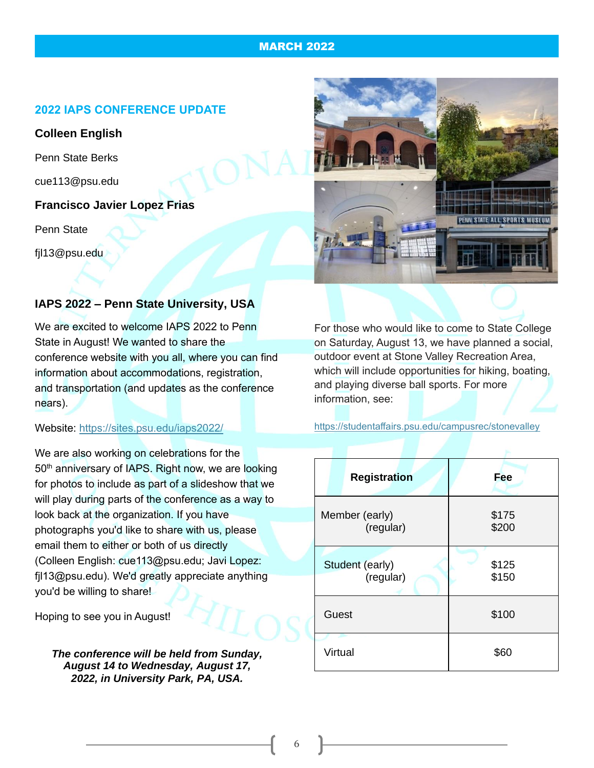#### **2022 IAPS CONFERENCE UPDATE**

## **Colleen English**

Penn State Berks

cue113@psu.edu

#### **Francisco Javier Lopez Frias**

Penn State

fjl13@psu.edu

## **IAPS 2022 – Penn State University, USA**

We are excited to welcome IAPS 2022 to Penn State in August! We wanted to share the conference website with you all, where you can find information about accommodations, registration, and transportation (and updates as the conference nears).

Website: <https://sites.psu.edu/iaps2022/>

We are also working on celebrations for the 50<sup>th</sup> anniversary of IAPS. Right now, we are looking for photos to include as part of a slideshow that we will play during parts of the conference as a way to look back at the organization. If you have photographs you'd like to share with us, please email them to either or both of us directly (Colleen English: cue113@psu.edu; Javi Lopez: fjl13@psu.edu). We'd greatly appreciate anything you'd be willing to share!

Hoping to see you in August!

*The conference will be held from Sunday, August 14 to Wednesday, August 17, 2022, in University Park, PA, USA.*

For those who would like to come to State College on Saturday, August 13, we have planned a social, outdoor event at Stone Valley Recreation Area, which will include opportunities for hiking, boating, and playing diverse ball sports. For more information, see:

<https://studentaffairs.psu.edu/campusrec/stonevalley>

| <b>Registration</b>          | <b>Fee</b>     |
|------------------------------|----------------|
| Member (early)<br>(regular)  | \$175<br>\$200 |
| Student (early)<br>(regular) | \$125<br>\$150 |
| Guest                        | \$100          |
| Virtual                      | \$60           |